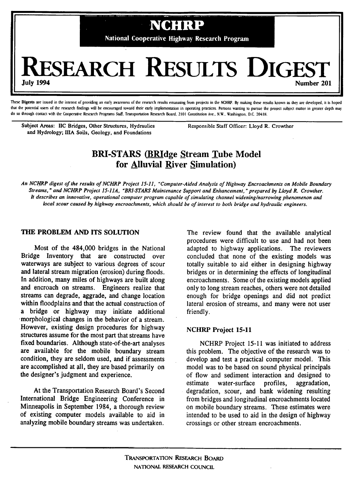

These Digests are issued in the interest of providing an early awareness of the research results emanating from projects in the NCHRP. By making these results known as they are developed, it is hoped that the potential users of the research findings will be encouraged toward their early implementation in operating practices. Persons wanting to pursue the project subject matter in greater depth may do so through contact with the Cooperative Research Programs Staff, Transportation Research Board, 2101 Constitution Ave., NW.. Washington, D.C. 20418.

Subject Areas: IIC Bridges, Other Structures, Hydraulics Responsible Staff Officer: Lloyd R. Crowther and Hydrology; lilA Soils, Geology, and Foundations

# **BRI-STARS (BRIdge Stream Tube Model) for Alluvial River simulation)**

An NCHRP digest of the results of NCHRP Project 15-I1, "Computer-Aided Analysis of Highway Encroachments on Mobile Boundary Streams," and NCHRP Project 15-11A, "BRI-STARS Maintenance Support and Enhancement," prepared by Lloyd R. Crowther. It describes an innovative, operational computer program capable of simulating channel widening/narrowing phenomenon and local scour caused by highway encroachments, which should be of interest to both bridge and hydraulic engineers.

## **THE PROBLEM AND ITS SOLUTION**

Most of the 484,000 bridges in the National Bridge Inventory that are constructed over waterways are subject to various degrees of scour and lateral stream migration (erosion) during.floods. In addition, many miles of highways are built along and encroach on streams. Engineers realize that streams can degrade, aggrade, and change location within floodplains and that the actual construction of a bridge or highway may initiate additional morphological changes in the behavior of a stream. However, existing design procedures for highway structures assume for the most part that streams have fixed boundaries. Although state-of-the-art analyses are available for the mobile boundary stream condition, they are seldom used, and if assessments are accomplished at all, they are based primarily on the designer's judgment and experience.

At the Transportation Research Board's Second International Bridge Engineering Conference in Minneapolis in September 1984, a thorough review of existing computer models available to aid in analyzing mobile boundary streams was undertaken.

The review found that the available analytical procedures were difficult to use and had not been adapted to highway applications. The reviewers concluded that none of the existing models was totally suitable to aid either in designing highway bridges or in determining the effects of longitudinal encroachments. Some of the existing models applied only to long stream reaches, others were not detailed enough for bridge openings and did not predict lateral erosion of streams, and many were not user friendly.

## **NCHRP Project 15-11**

NCHRP Project 15-11 was initiated to address this problem. The objective of the research was to develop and test a practical computer model. This model was to be based on sound physical principals of flow and sediment interaction and designed to estimate water-surface profiles, aggradation, degradation, scour, and bank widening resulting from bridges and longitudinal encroachments located on mobile boundary streams. These estimates were intended to be used to aid in the design of highway crossings or other stream encroachments.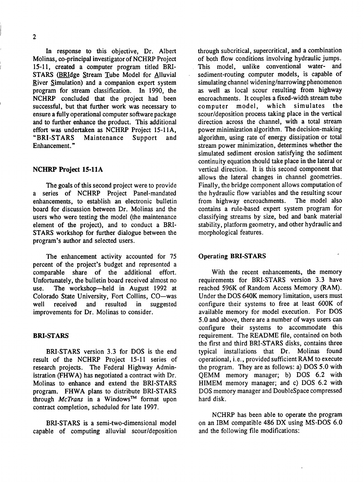In response to this objective, Dr. Albert Molinas, co-principal investigator of NCHRP Project 15-11, created a computer program titled BRI-STARS (BRIdge Stream Tube Model for Alluvial River Simulation) and a companion expert system program for stream classification. In 1990, the NCHRP concluded that the project had been successful, but that further work was necessary to ensure a fully operational computer software package and to further enhance the product. This additional effort was undertaken as NCHRP Project 15-1A, "BRI-STARS Maintenance Support and Enhancement."

## **NCHRP Project 15-1A**

The goals of this second project were to provide a series of NCHRP Project Panel-mandated enhancements, to establish an electronic bulletin board for discussion between Dr. Molinas and the users who were testing the model (the maintenance element of the project), and to conduct a BRI-STARS workshop for further dialogue between the program's author and selected users.

The enhancement activity accounted for *75*  percent of the project's budget and represented a comparable share of the additional effort. Unfortunately, the bulletin board received almost no use. The workshop—held in August 1992 at Colorado State University, Fort Collins, CO—was well received and resulted in suggested improvements for Dr. Molinas to consider.

#### **BRI-STARS**

BRI-STARS version 3.3 for DOS is the end result of the NCHRP Project 15-11 series of research projects. The Federal Highway Administration (FHWA) has negotiated a contract with Dr. Molinas to enhance and extend the BRI-STARS program. FHWA plans to distribute BRI-STARS through *McTrans* in a WindOwsTM format upon contract completion, scheduled for late 1997.

BRI-STARS is a semi-two-dimensional model capable of computing alluvial scour/deposition through subcritical, supercritical, and a combination of both flow conditions involving hydraulic jumps. This model, unlike conventional water- and sediment-routing computer models, is capable of simulating channel widening/narrowing phenomenon as well as local scour resulting from highway encroachments. It couples a fixed-width stream tube computer model, which simulates the scour/deposition process taking place in the vertical direction across the channel, with a total stream power minimization algorithm. The decision-making algorithm, using rate of energy dissipation or total stream power minimization, determines whether the simulated sediment erosion satisfying the sediment continuity equation should take place in the lateral or vertical direction. It is this second component that allows the lateral changes in channel geometries. Finally, the bridge component allows computation of the hydraulic flow variables and the resulting scour<br>from highway encroachments. The model also from highway encroachments. contains a rule-based expert system program for classifying streams by size, bed and bank material stability, platform geometry, and other hydraulic and morphological features.

#### Operating **BRI-STARS**

With the recent enhancements, the memory requirements for BRI-STARS version 3.3 have reached 596K of Random Access Memory (RAM). Under the DOS 640K memory limitation, users must configure their systems to free at least 600K of available memory for model execution. For DOS *5.0* and above, there are a number of ways users can configure their systems to accommodate this requirement. The README file, contained on both the first and third BRI-STARS disks, contains three typical installations that Dr. Molinas found operational, i.e., provided sufficient RAM to execute the program. They are as follows: a) DOS 5.0 with QEMM memory manager; b) DOS 6.2 with HIMEM memory manager; and c) DOS 6.2 with DOS memory manager and DoubleSpace compressed hard disk.

NCHRP has been able to operate the program on an IBM compatible 486 DX using MS-DOS 6.0 and the following file modifications: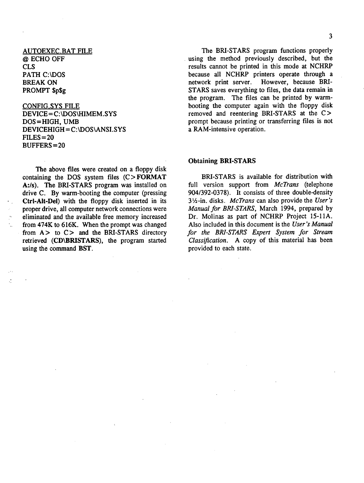# **AUTOEXEC.BAT FILE @ ECHO** OFF CLS PATH C:\DOS BREAK ON PROMPT \$p\$g

 $\mathbb{Z}^2$ 

# CONFIG.SYS FILE DEVICE= C:\DOS\HIMEM.SYS DOS =HIGH, UMB **DEVICEHIGH = C:\DOS\ANSI.SYS FILES = 20 BUFFERS = 20**

The above files were created on a floppy disk containing the DOS system files (C> **FORMAT**  A:/s). The BRI-STARS program was installed on drive C. By warm-booting the computer (pressing Ctrl-Alt-Del) with the floppy disk inserted in its proper drive, all computer network connections were eliminated and the available free memory increased from 474K to 616K. When the prompt was changed from  $A >$  to  $C >$  and the BRI-STARS directory retrieved **(CD\BRISTARS),** the program started using the command **BST.** 

STARS saves everything to files, the data remain in the program. The files can be printed by warmbooting the computer again with the floppy disk removed and reentering BRI-STARS at the C> prompt because printing or transferring files is not a RAM-intensive operation.

#### **Obtaining BRI-STARS**

BRI-STARS is available for distribution with full version support from *McTrans* (telephone 904/392-0378). It consists of three double-density 31/2-in, disks. *McTrans* can also provide the *User's Manual for BRI-STARS,* March 1994, prepared by Dr. Molinas as part of NCHRP Project 15-1A. Also included in this document is the *User's Manual for the BRI-STARS Expert System for Stream Class jfication. A copy* of this material has been provided to each state.